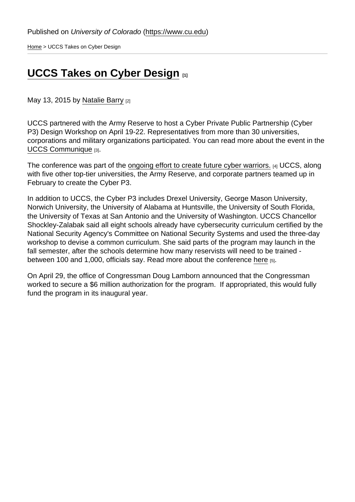[Home](https://www.cu.edu/) > UCCS Takes on Cyber Design

## [UCCS Takes on Cyber Design](https://www.cu.edu/blog/government-relations/uccs-takes-cyber-design) [1]

May 13, 2015 by [Natalie Barry](https://www.cu.edu/blog/government-relations/author/3242) [2]

UCCS partnered with the Army Reserve to host a Cyber Private Public Partnership (Cyber P3) Design Workshop on April 19-22. Representatives from more than 30 universities, corporations and military organizations participated. You can read more about the event in the [UCCS Communique](http://communique.uccs.edu/?p=18540) [3].

The conference was part of the [ongoing effort to create future cyber warriors.](https://www.cu.edu/blog/government-relations/uccs-partners-army-reserve-p3-cyber-program) [4] UCCS, along with five other top-tier universities, the Army Reserve, and corporate partners teamed up in February to create the Cyber P3.

In addition to UCCS, the Cyber P3 includes Drexel University, George Mason University, Norwich University, the University of Alabama at Huntsville, the University of South Florida, the University of Texas at San Antonio and the University of Washington. UCCS Chancellor Shockley-Zalabak said all eight schools already have cybersecurity curriculum certified by the National Security Agency's Committee on National Security Systems and used the three-day workshop to devise a common curriculum. She said parts of the program may launch in the fall semester, after the schools determine how many reservists will need to be trained between 100 and 1,000, officials say. Read more about the conference [here](http://m.gazette.com/uccs-part-of-new-partnership-to-boost-cyber-defense-in-u.s./article/1550083) [5].

On April 29, the office of Congressman Doug Lamborn announced that the Congressman worked to secure a \$6 million authorization for the program. If appropriated, this would fully fund the program in its inaugural year.